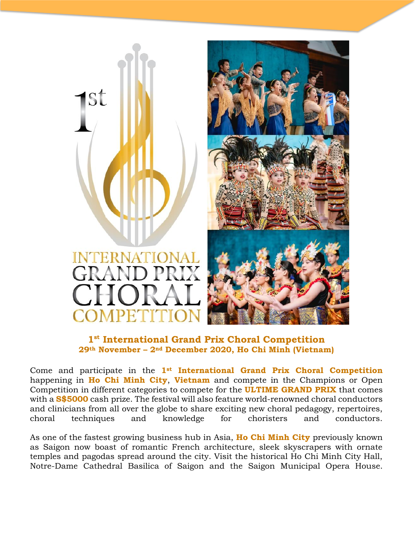



### **1 st International Grand Prix Choral Competition 29th November – 2nd December 2020, Ho Chi Minh (Vietnam)**

Come and participate in the **1st International Grand Prix Choral Competition**  happening in **Ho Chi Minh City**, **Vietnam** and compete in the Champions or Open Competition in different categories to compete for the **ULTIME GRAND PRIX** that comes with a **S\$5000** cash prize. The festival will also feature world-renowned choral conductors and clinicians from all over the globe to share exciting new choral pedagogy, repertoires, choral techniques and knowledge for choristers and conductors.

As one of the fastest growing business hub in Asia, **Ho Chi Minh City** previously known as Saigon now boast of romantic French architecture, sleek skyscrapers with ornate temples and pagodas spread around the city. Visit the historical Ho Chi Minh City Hall, Notre-Dame Cathedral Basilica of Saigon and the Saigon Municipal Opera House.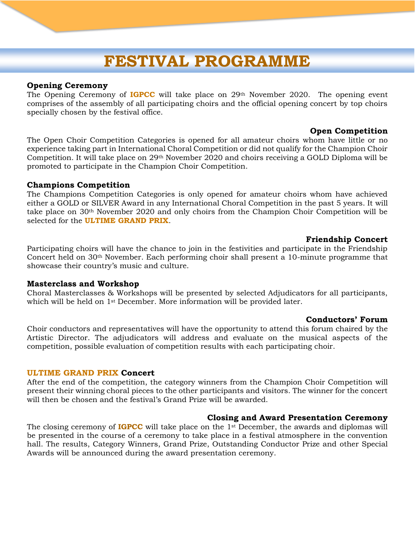# **FESTIVAL PROGRAMME**

#### **Opening Ceremony**

The Opening Ceremony of **IGPCC** will take place on 29th November 2020. The opening event comprises of the assembly of all participating choirs and the official opening concert by top choirs specially chosen by the festival office.

#### **Open Competition**

The Open Choir Competition Categories is opened for all amateur choirs whom have little or no experience taking part in International Choral Competition or did not qualify for the Champion Choir Competition. It will take place on 29th November 2020 and choirs receiving a GOLD Diploma will be promoted to participate in the Champion Choir Competition.

#### **Champions Competition**

The Champions Competition Categories is only opened for amateur choirs whom have achieved either a GOLD or SILVER Award in any International Choral Competition in the past 5 years. It will take place on 30th November 2020 and only choirs from the Champion Choir Competition will be selected for the **ULTIME GRAND PRIX**.

#### **Friendship Concert**

Participating choirs will have the chance to join in the festivities and participate in the Friendship Concert held on 30th November. Each performing choir shall present a 10-minute programme that showcase their country's music and culture.

#### **Masterclass and Workshop**

Choral Masterclasses & Workshops will be presented by selected Adjudicators for all participants, which will be held on 1<sup>st</sup> December. More information will be provided later.

#### **Conductors' Forum**

Choir conductors and representatives will have the opportunity to attend this forum chaired by the Artistic Director. The adjudicators will address and evaluate on the musical aspects of the competition, possible evaluation of competition results with each participating choir.

#### **ULTIME GRAND PRIX Concert**

After the end of the competition, the category winners from the Champion Choir Competition will present their winning choral pieces to the other participants and visitors. The winner for the concert will then be chosen and the festival's Grand Prize will be awarded.

#### **Closing and Award Presentation Ceremony**

The closing ceremony of **IGPCC** will take place on the 1st December, the awards and diplomas will be presented in the course of a ceremony to take place in a festival atmosphere in the convention hall. The results, Category Winners, Grand Prize, Outstanding Conductor Prize and other Special Awards will be announced during the award presentation ceremony.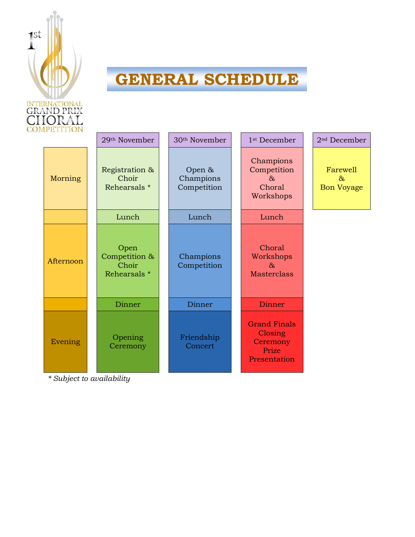

# **GENERAL SCHEDULE**

| IPETITION | 29 <sup>th</sup> November                      | 30 <sup>th</sup> November          | 1 <sup>st</sup> December                                            | 2 <sup>nd</sup> December                    |
|-----------|------------------------------------------------|------------------------------------|---------------------------------------------------------------------|---------------------------------------------|
| Morning   | Registration &<br>Choir<br>Rehearsals *        | Open &<br>Champions<br>Competition | Champions<br>Competition<br>$\delta x$<br>Choral<br>Workshops       | Farewell<br>$\delta x$<br><b>Bon Voyage</b> |
|           | Lunch                                          | Lunch                              | Lunch                                                               |                                             |
| Afternoon | Open<br>Competition &<br>Choir<br>Rehearsals * | Champions<br>Competition           | Choral<br>Workshops<br>$\delta x$<br><b>Masterclass</b>             |                                             |
|           | Dinner                                         | Dinner                             | Dinner                                                              |                                             |
| Evening   | Opening<br>Ceremony                            | Friendship<br>Concert              | <b>Grand Finals</b><br>Closing<br>Ceremony<br>Prize<br>Presentation |                                             |

*\* Subject to availability*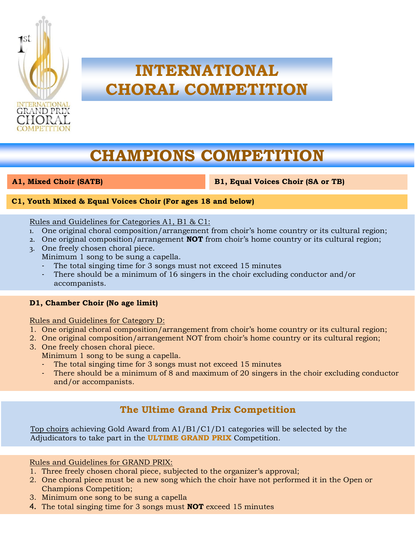

# **INTERNATIONAL CHORAL COMPETITION**

# **CHAMPIONS COMPETITION**

4.

**A1, Mixed Choir (SATB) B1, Equal Voices Choir (SA or TB)**

#### **C1, Youth Mixed & Equal Voices Choir (For ages 18 and below)**

#### Rules and Guidelines for Categories A1, B1 & C1:

- 1. One original choral composition/arrangement from choir's home country or its cultural region;
- 2. One original composition/arrangement **NOT** from choir's home country or its cultural region;
- 3. One freely chosen choral piece.
	- Minimum 1 song to be sung a capella.
	- The total singing time for 3 songs must not exceed 15 minutes
	- There should be a minimum of 16 singers in the choir excluding conductor and/or accompanists.

#### **D1, Chamber Choir (No age limit)**

Rules and Guidelines for Category D:

- 1. One original choral composition/arrangement from choir's home country or its cultural region;
- 2. One original composition/arrangement NOT from choir's home country or its cultural region;
- 3. One freely chosen choral piece.
	- Minimum 1 song to be sung a capella.
		- The total singing time for 3 songs must not exceed 15 minutes
		- There should be a minimum of 8 and maximum of 20 singers in the choir excluding conductor and/or accompanists.

### **The Ultime Grand Prix Competition**

Top choirs achieving Gold Award from A1/B1/C1/D1 categories will be selected by the Adjudicators to take part in the **ULTIME GRAND PRIX** Competition.

Rules and Guidelines for GRAND PRIX:

- 1. Three freely chosen choral piece, subjected to the organizer's approval;
- 2. One choral piece must be a new song which the choir have not performed it in the Open or Champions Competition;
- 3. Minimum one song to be sung a capella
- 4. The total singing time for 3 songs must **NOT** exceed 15 minutes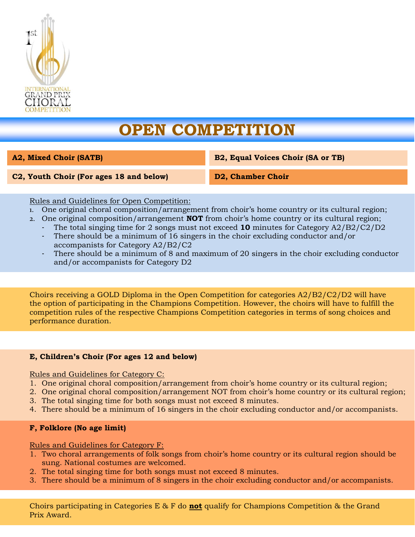

# **OPEN COMPETITION**

**A2, Mixed Choir (SATB) B2, Equal Voices Choir (SA or TB)** 

**C2, Youth Choir (For ages 18 and below) D2, Chamber Choir** 

#### Rules and Guidelines for Open Competition:

- 1. One original choral composition/arrangement from choir's home country or its cultural region;
- 2. One original composition/arrangement **NOT** from choir's home country or its cultural region;
	- The total singing time for 2 songs must not exceed **10** minutes for Category A2/B2/C2/D2
	- There should be a minimum of 16 singers in the choir excluding conductor and/or accompanists for Category A2/B2/C2
	- There should be a minimum of 8 and maximum of 20 singers in the choir excluding conductor and/or accompanists for Category D2

Choirs receiving a GOLD Diploma in the Open Competition for categories A2/B2/C2/D2 will have the option of participating in the Champions Competition. However, the choirs will have to fulfill the competition rules of the respective Champions Competition categories in terms of song choices and performance duration.

#### **E, Children's Choir (For ages 12 and below)**

Rules and Guidelines for Category C:

- 1. One original choral composition/arrangement from choir's home country or its cultural region;
- 2. One original choral composition/arrangement NOT from choir's home country or its cultural region;
- 3. The total singing time for both songs must not exceed 8 minutes.
- 4. There should be a minimum of 16 singers in the choir excluding conductor and/or accompanists.

#### **F, Folklore (No age limit)**

Rules and Guidelines for Category F:

- 1. Two choral arrangements of folk songs from choir's home country or its cultural region should be sung. National costumes are welcomed.
- 2. The total singing time for both songs must not exceed 8 minutes.
- 3. There should be a minimum of 8 singers in the choir excluding conductor and/or accompanists.

Choirs participating in Categories E & F do **not** qualify for Champions Competition & the Grand Prix Award.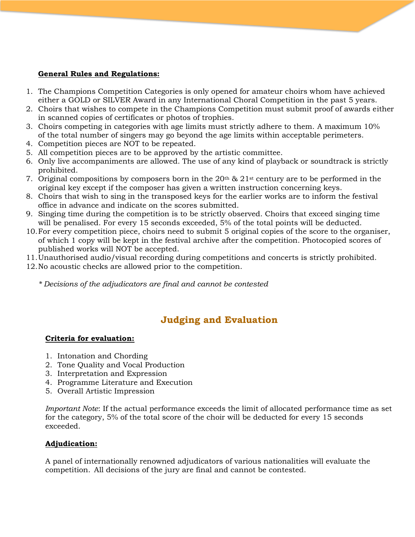#### **General Rules and Regulations:**

- 1. The Champions Competition Categories is only opened for amateur choirs whom have achieved either a GOLD or SILVER Award in any International Choral Competition in the past 5 years.
- 2. Choirs that wishes to compete in the Champions Competition must submit proof of awards either in scanned copies of certificates or photos of trophies.
- 3. Choirs competing in categories with age limits must strictly adhere to them. A maximum 10% of the total number of singers may go beyond the age limits within acceptable perimeters.
- 4. Competition pieces are NOT to be repeated.
- 5. All competition pieces are to be approved by the artistic committee.
- 6. Only live accompaniments are allowed. The use of any kind of playback or soundtrack is strictly prohibited.
- 7. Original compositions by composers born in the  $20<sup>th</sup>$  &  $21<sup>st</sup>$  century are to be performed in the original key except if the composer has given a written instruction concerning keys.
- 8. Choirs that wish to sing in the transposed keys for the earlier works are to inform the festival office in advance and indicate on the scores submitted.
- 9. Singing time during the competition is to be strictly observed. Choirs that exceed singing time will be penalised. For every 15 seconds exceeded, 5% of the total points will be deducted.
- 10.For every competition piece, choirs need to submit 5 original copies of the score to the organiser, of which 1 copy will be kept in the festival archive after the competition. Photocopied scores of published works will NOT be accepted.
- 11.Unauthorised audio/visual recording during competitions and concerts is strictly prohibited.
- 12.No acoustic checks are allowed prior to the competition.
	- *\* Decisions of the adjudicators are final and cannot be contested*

### **Judging and Evaluation**

#### **Criteria for evaluation:**

- 1. Intonation and Chording
- 2. Tone Quality and Vocal Production
- 3. Interpretation and Expression
- 4. Programme Literature and Execution
- 5. Overall Artistic Impression

*Important Note*: If the actual performance exceeds the limit of allocated performance time as set for the category, 5% of the total score of the choir will be deducted for every 15 seconds exceeded.

#### **Adjudication:**

A panel of internationally renowned adjudicators of various nationalities will evaluate the competition. All decisions of the jury are final and cannot be contested.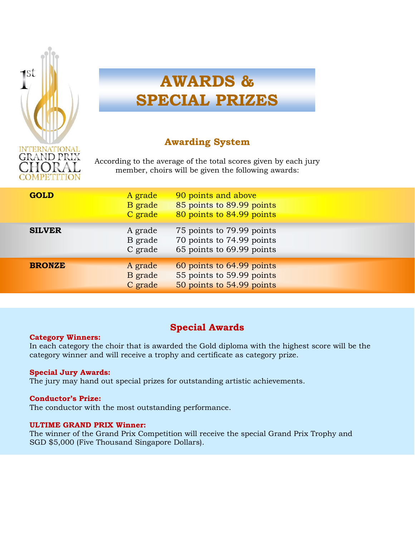

# **AWARDS & SPECIAL PRIZES**

### **Awarding System**

According to the average of the total scores given by each jury member, choirs will be given the following awards:

| <b>GOLD</b>   | A grade<br>B grade<br>C grade | 90 points and above<br>85 points to 89.99 points<br>80 points to 84.99 points       |  |
|---------------|-------------------------------|-------------------------------------------------------------------------------------|--|
| <b>SILVER</b> | A grade<br>B grade<br>C grade | 75 points to 79.99 points<br>70 points to 74.99 points<br>65 points to 69.99 points |  |
| <b>BRONZE</b> | A grade<br>B grade<br>C grade | 60 points to 64.99 points<br>55 points to 59.99 points<br>50 points to 54.99 points |  |

### **Special Awards**

#### **Category Winners:**

In each category the choir that is awarded the Gold diploma with the highest score will be the category winner and will receive a trophy and certificate as category prize.

#### **Special Jury Awards:**

The jury may hand out special prizes for outstanding artistic achievements.

#### **Conductor's Prize:**

The conductor with the most outstanding performance.

#### **ULTIME GRAND PRIX Winner:**

The winner of the Grand Prix Competition will receive the special Grand Prix Trophy and SGD \$5,000 (Five Thousand Singapore Dollars).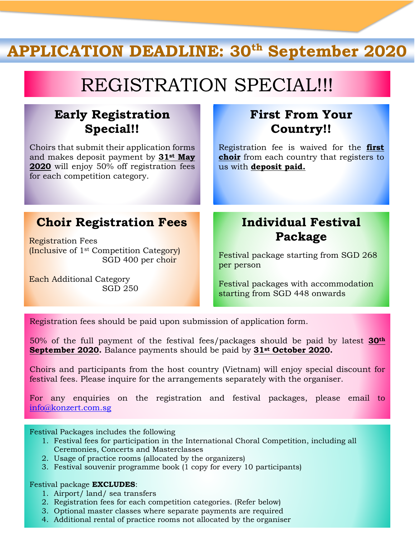# **APPLICATION DEADLINE: 30th September 2020**

# REGISTRATION SPECIAL!!!

## **Early Registration Special!!**

Choirs that submit their application forms and makes deposit payment by **31st May 2020** will enjoy 50% off registration fees for each competition category.

# **Choir Registration Fees**

Registration Fees (Inclusive of 1st Competition Category) SGD 400 per choir

Each Additional Category SGD 250

### **First From Your Country!!**

Registration fee is waived for the **first choir** from each country that registers to us with **deposit paid.**

## **Individual Festival Package**

Festival package starting from SGD 268 per person

Festival packages with accommodation starting from SGD 448 onwards

Registration fees should be paid upon submission of application form.

50% of the full payment of the festival fees/packages should be paid by latest **30th September 2020.** Balance payments should be paid by **31st October 2020.**

Choirs and participants from the host country (Vietnam) will enjoy special discount for festival fees. Please inquire for the arrangements separately with the organiser.

For any enquiries on the registration and festival packages, please email to [info@konzert.com.sg](mailto:info@konzert.com.sg)

Festival Packages includes the following

- 1. Festival fees for participation in the International Choral Competition, including all Ceremonies, Concerts and Masterclasses
- 2. Usage of practice rooms (allocated by the organizers)
- 3. Festival souvenir programme book (1 copy for every 10 participants)

#### Festival package **EXCLUDES**:

- 1. Airport/ land/ sea transfers
- 2. Registration fees for each competition categories. (Refer below)
- 3. Optional master classes where separate payments are required
- 4. Additional rental of practice rooms not allocated by the organiser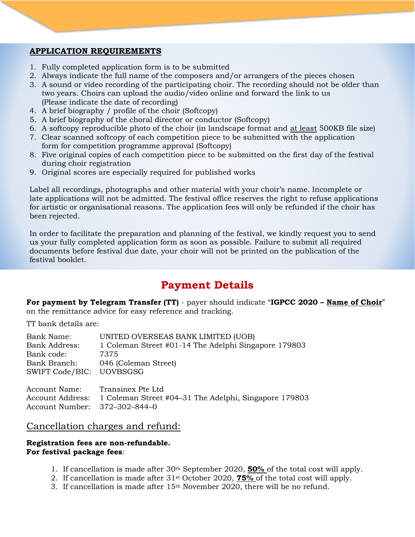#### **APPLICATION REQUIREMENTS**

- 1. Fully completed application form is to be submitted
- 2. Always indicate the full name of the composers and/or arrangers of the pieces chosen
- 3. A sound or video recording of the participating choir. The recording should not be older than two years. Choirs can upload the audio/video online and forward the link to us (Please indicate the date of recording)
- 4. A brief biography / profile of the choir (Softcopy)
- 5. A brief biography of the choral director or conductor (Softcopy)
- 6. A softcopy reproducible photo of the choir (in landscape format and at least 500KB file size)
- 7. Clear scanned softcopy of each competition piece to be submitted with the application form for competition programme approval (Softcopy)
- 8. Five original copies of each competition piece to be submitted on the first day of the festival during choir registration
- 9. Original scores are especially required for published works

Label all recordings, photographs and other material with your choir's name. Incomplete or late applications will not be admitted. The festival office reserves the right to refuse applications for artistic or organisational reasons. The application fees will only be refunded if the choir has been rejected.

In order to facilitate the preparation and planning of the festival, we kindly request you to send us your fully completed application form as soon as possible. Failure to submit all required documents before festival due date, your choir will not be printed on the publication of the festival booklet.

### **Payment Details**

**For payment by Telegram Transfer (TT)** - payer should indicate "**IGPCC 2020 – Name of Choir**" on the remittance advice for easy reference and tracking.

TT bank details are:

| Bank Name:<br><b>Bank Address:</b><br>Bank code:<br>Bank Branch:<br>SWIFT Code/BIC: UOVBSGSG | UNITED OVERSEAS BANK LIMITED (UOB)<br>1 Coleman Street #01-14 The Adelphi Singapore 179803<br>7375<br>046 (Coleman Street) |
|----------------------------------------------------------------------------------------------|----------------------------------------------------------------------------------------------------------------------------|
| Account Name:                                                                                | Transinex Pte Ltd                                                                                                          |
| <b>Account Address:</b>                                                                      | 1 Coleman Street #04–31 The Adelphi, Singapore 179803                                                                      |
| Account Number:                                                                              | 372-302-844-0                                                                                                              |

### Cancellation charges and refund:

#### **Registration fees are non-refundable. For festival package fees**:

- 1. If cancellation is made after 30th September 2020, **50%** of the total cost will apply.
- 2. If cancellation is made after 31st October 2020, **75%** of the total cost will apply.
- 3. If cancellation is made after 15th November 2020, there will be no refund.